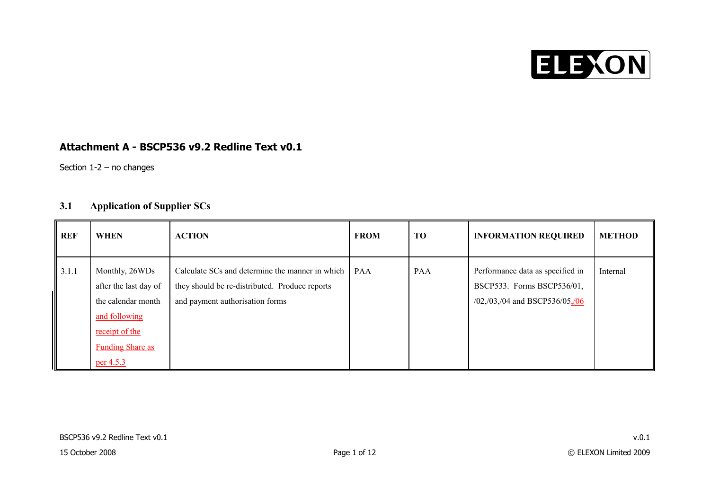

#### **Attachment A - BSCP536 v9.2 Redline Text v0.1**

Section 1-2 – no changes

### **3.1 Application of Supplier SCs**

| REF   | <b>WHEN</b>                                                                                                                              | <b>ACTION</b>                                                                                                                        | <b>FROM</b> | <b>TO</b>  | <b>INFORMATION REQUIRED</b>                                                                                   | <b>METHOD</b> |
|-------|------------------------------------------------------------------------------------------------------------------------------------------|--------------------------------------------------------------------------------------------------------------------------------------|-------------|------------|---------------------------------------------------------------------------------------------------------------|---------------|
| 3.1.1 | Monthly, 26WDs<br>after the last day of<br>the calendar month<br>and following<br>receipt of the<br><b>Funding Share as</b><br>per 4.5.3 | Calculate SCs and determine the manner in which<br>they should be re-distributed. Produce reports<br>and payment authorisation forms | PAA         | <b>PAA</b> | Performance data as specified in<br>BSCP533. Forms BSCP536/01,<br>$/02$ , $/03$ , $/04$ and BSCP536/05, $/06$ | Internal      |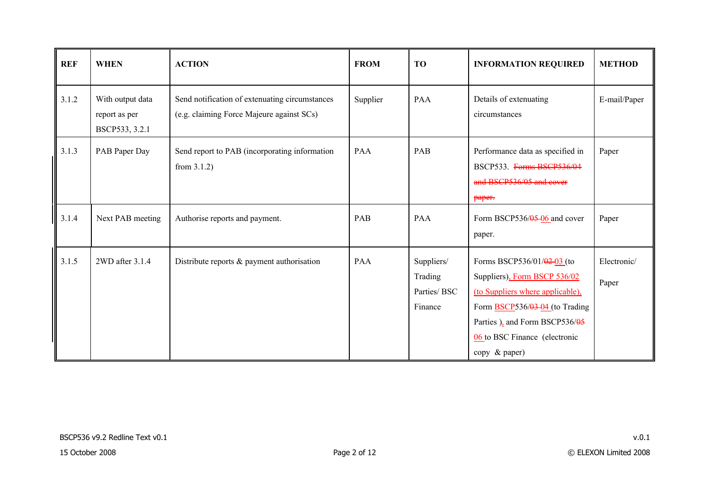| <b>REF</b> | <b>WHEN</b>                                         | <b>ACTION</b>                                                                               | <b>FROM</b> | <b>TO</b>                                        | <b>INFORMATION REQUIRED</b>                                                                                                                                                                                                       | <b>METHOD</b>        |
|------------|-----------------------------------------------------|---------------------------------------------------------------------------------------------|-------------|--------------------------------------------------|-----------------------------------------------------------------------------------------------------------------------------------------------------------------------------------------------------------------------------------|----------------------|
| 3.1.2      | With output data<br>report as per<br>BSCP533, 3.2.1 | Send notification of extenuating circumstances<br>(e.g. claiming Force Majeure against SCs) | Supplier    | <b>PAA</b>                                       | Details of extenuating<br>circumstances                                                                                                                                                                                           | E-mail/Paper         |
| 3.1.3      | PAB Paper Day                                       | Send report to PAB (incorporating information<br>from $3.1.2$ )                             | PAA         | PAB                                              | Performance data as specified in<br>BSCP533. Forms BSCP536/04<br>and BSCP536/05 and cover<br>paper.                                                                                                                               | Paper                |
| 3.1.4      | Next PAB meeting                                    | Authorise reports and payment.                                                              | PAB         | <b>PAA</b>                                       | Form BSCP536/05-06 and cover<br>paper.                                                                                                                                                                                            | Paper                |
| 3.1.5      | $2WD$ after $3.1.4$                                 | Distribute reports $\&$ payment authorisation                                               | PAA         | Suppliers/<br>Trading<br>Parties/ BSC<br>Finance | Forms BSCP536/01/ $\frac{0.2}{0.2}$ (to<br>Suppliers), Form BSCP 536/02<br>(to Suppliers where applicable),<br>Form BSCP536/03-04 (to Trading<br>Parties ), and Form BSCP536/05<br>06 to BSC Finance (electronic<br>copy & paper) | Electronic/<br>Paper |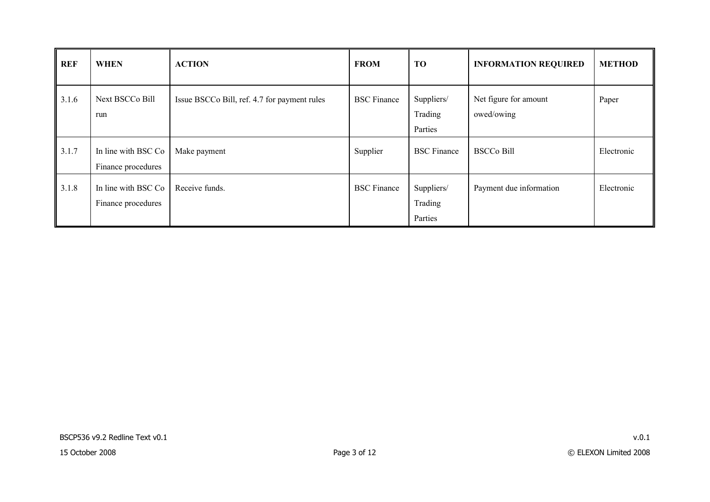| <b>REF</b> | <b>WHEN</b>                                | <b>ACTION</b>                                | <b>FROM</b>        | TO                               | <b>INFORMATION REQUIRED</b>         | <b>METHOD</b> |
|------------|--------------------------------------------|----------------------------------------------|--------------------|----------------------------------|-------------------------------------|---------------|
| 3.1.6      | Next BSCCo Bill<br>run                     | Issue BSCCo Bill, ref. 4.7 for payment rules | <b>BSC</b> Finance | Suppliers/<br>Trading<br>Parties | Net figure for amount<br>owed/owing | Paper         |
| 3.1.7      | In line with BSC Co.<br>Finance procedures | Make payment                                 | Supplier           | <b>BSC</b> Finance               | <b>BSCCo Bill</b>                   | Electronic    |
| 3.1.8      | In line with BSC Co<br>Finance procedures  | Receive funds.                               | <b>BSC</b> Finance | Suppliers/<br>Trading<br>Parties | Payment due information             | Electronic    |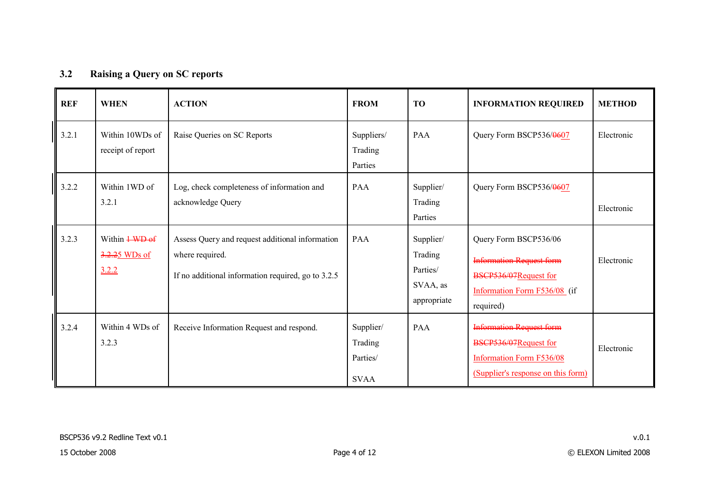## **3.2 Raising a Query on SC reports**

| <b>REF</b> | <b>WHEN</b>                                                                      | <b>ACTION</b>                                                                                                            | <b>FROM</b>                                     | <b>TO</b>                                                   | <b>INFORMATION REQUIRED</b>                                                                                                       | <b>METHOD</b> |
|------------|----------------------------------------------------------------------------------|--------------------------------------------------------------------------------------------------------------------------|-------------------------------------------------|-------------------------------------------------------------|-----------------------------------------------------------------------------------------------------------------------------------|---------------|
| 3.2.1      | Within 10WDs of<br>receipt of report                                             | Raise Queries on SC Reports                                                                                              | Suppliers/<br>Trading<br>Parties                | PAA                                                         | Query Form BSCP536/0607                                                                                                           | Electronic    |
| 3.2.2      | Within 1WD of<br>3.2.1                                                           | Log, check completeness of information and<br>acknowledge Query                                                          | PAA                                             | Supplier/<br>Trading<br>Parties                             | Query Form BSCP536/0607                                                                                                           | Electronic    |
| 3.2.3      | Within $\frac{1 \text{ W} + 1 \text{ W}}{1 \text{ H}}$<br>3.2.25 WDs of<br>3.2.2 | Assess Query and request additional information<br>where required.<br>If no additional information required, go to 3.2.5 | <b>PAA</b>                                      | Supplier/<br>Trading<br>Parties/<br>SVAA, as<br>appropriate | Query Form BSCP536/06<br><b>Information Request form</b><br>BSCP536/07Request for<br>Information Form F536/08 (if<br>required)    | Electronic    |
| 3.2.4      | Within 4 WDs of<br>3.2.3                                                         | Receive Information Request and respond.                                                                                 | Supplier/<br>Trading<br>Parties/<br><b>SVAA</b> | PAA                                                         | <b>Information Request form</b><br>BSCP536/07Request for<br><b>Information Form F536/08</b><br>(Supplier's response on this form) | Electronic    |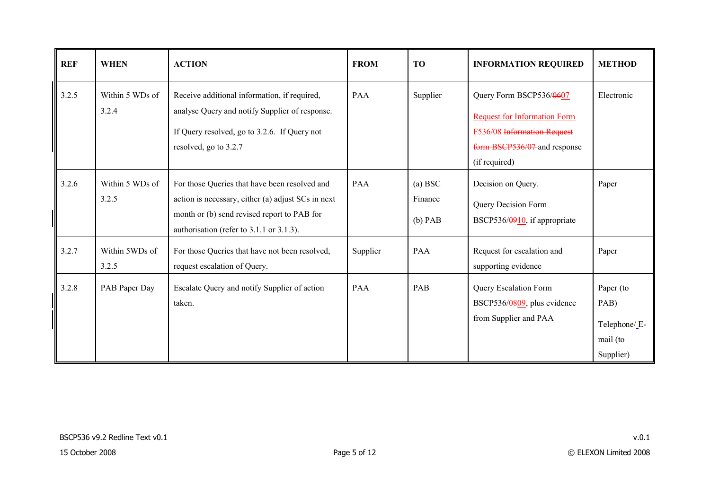| <b>REF</b> | <b>WHEN</b>              | <b>ACTION</b>                                                                                                                                                                                  | <b>FROM</b> | <b>TO</b>                       | <b>INFORMATION REQUIRED</b>                                                                                                                    | <b>METHOD</b>                                              |
|------------|--------------------------|------------------------------------------------------------------------------------------------------------------------------------------------------------------------------------------------|-------------|---------------------------------|------------------------------------------------------------------------------------------------------------------------------------------------|------------------------------------------------------------|
| 3.2.5      | Within 5 WDs of<br>3.2.4 | Receive additional information, if required,<br>analyse Query and notify Supplier of response.<br>If Query resolved, go to 3.2.6. If Query not<br>resolved, go to 3.2.7                        | PAA         | Supplier                        | Query Form BSCP536/0607<br><b>Request for Information Form</b><br>F536/08 Information Request<br>form BSCP536/07 and response<br>(if required) | Electronic                                                 |
| 3.2.6      | Within 5 WDs of<br>3.2.5 | For those Queries that have been resolved and<br>action is necessary, either (a) adjust SCs in next<br>month or (b) send revised report to PAB for<br>authorisation (refer to 3.1.1 or 3.1.3). | PAA         | (a) BSC<br>Finance<br>$(b)$ PAB | Decision on Query.<br>Query Decision Form<br>BSCP536/0910, if appropriate                                                                      | Paper                                                      |
| 3.2.7      | Within 5WDs of<br>3.2.5  | For those Queries that have not been resolved,<br>request escalation of Query.                                                                                                                 | Supplier    | PAA                             | Request for escalation and<br>supporting evidence                                                                                              | Paper                                                      |
| 3.2.8      | PAB Paper Day            | Escalate Query and notify Supplier of action<br>taken.                                                                                                                                         | <b>PAA</b>  | PAB                             | Query Escalation Form<br>BSCP536/0809, plus evidence<br>from Supplier and PAA                                                                  | Paper (to<br>PAB)<br>Telephone/E-<br>mail (to<br>Supplier) |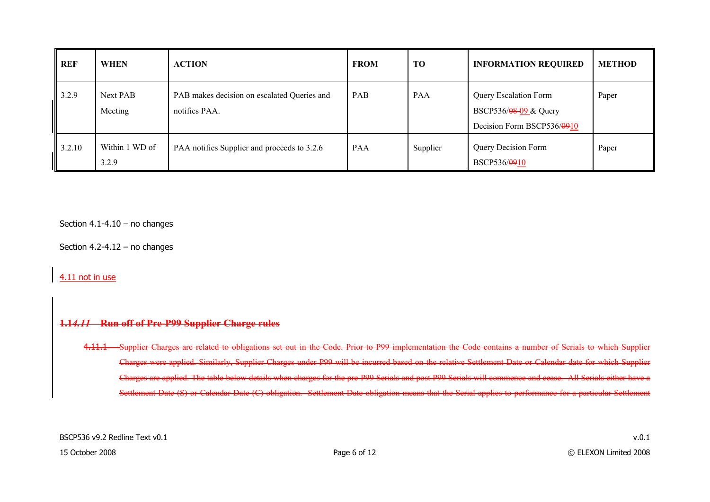| REF    | <b>WHEN</b>             | <b>ACTION</b>                                                | <b>FROM</b> | TO         | <b>INFORMATION REQUIRED</b>                                                  | <b>METHOD</b> |
|--------|-------------------------|--------------------------------------------------------------|-------------|------------|------------------------------------------------------------------------------|---------------|
| 3.2.9  | Next PAB<br>Meeting     | PAB makes decision on escalated Queries and<br>notifies PAA. | PAB         | <b>PAA</b> | Query Escalation Form<br>BSCP536/08-09 & Query<br>Decision Form BSCP536/0910 | Paper         |
| 3.2.10 | Within 1 WD of<br>3.2.9 | PAA notifies Supplier and proceeds to 3.2.6                  | <b>PAA</b>  | Supplier   | Query Decision Form<br>BSCP536/0910                                          | Paper         |

Section  $4.1 - 4.10 -$  no changes

Section 4.2-4.12 – no changes

4.11 not in use

#### **1.1***4.11* **Run off of Pre-P99 Supplier Charge rules**

4.11.1 Supplier Charges are related to obligations set out in the Code. Prior to P99 implementation the Code contains a number of Serials to which Supplier Charges were applied. Similarly, Supplier Charges under P99 will be incurred based on the relative Settlement Date or Calendar date for which Supplier Charges are applied. The table below details when charges for the pre-P99 Serials and post P99 Serials will commence and cease. All Serials either have a Settlement Date (S) or Calendar Date (C) obligation. Settlement Date obligation means that the Serial applies to performance for a particular Settlement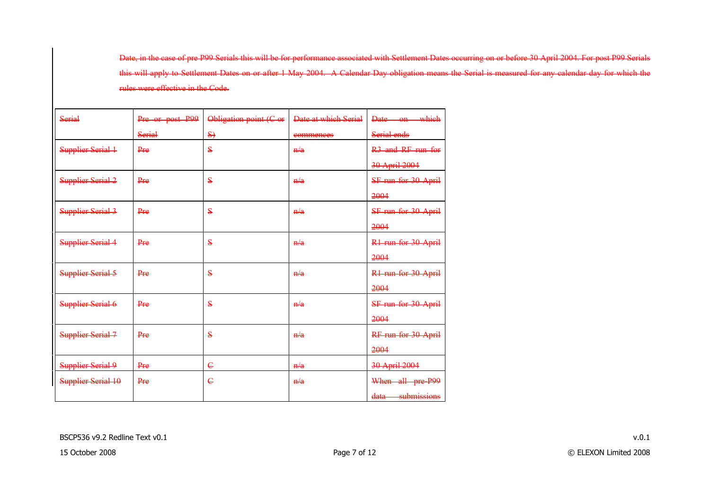Date, in the case of pre P99 Serials this will be for performance associated with Settlement Dates occurring on or before 30 April 2004. For post P99 Serials this will apply to Settlement Dates on or after 1 May 2004. A Calendar Day obligation means the Serial is measured for any calendar day for which the rules were effective in the Code.

| <b>Serial</b>            | Pre or post P99 | Obligation point (C or  | Date at which Serial   | Date on which                 |
|--------------------------|-----------------|-------------------------|------------------------|-------------------------------|
|                          | <b>Serial</b>   | $\left\{S\right\}$      | commences              | Serial ends                   |
| <b>Supplier Serial 1</b> | Pre             | $\bf{s}$                | H/a                    | R <sub>3</sub> and RF run for |
|                          |                 |                         |                        | 30 April 2004                 |
| <b>Supplier Serial 2</b> | Pre             | $\bf s$                 | H/a                    | SF run for 30 April           |
|                          |                 |                         |                        | 2004                          |
| <b>Supplier Serial 3</b> | Pre             | $\bf s$                 | H/a                    | SF run for 30 April           |
|                          |                 |                         |                        | 2004                          |
| <b>Supplier Serial 4</b> | Pre             | $\bf{s}$                | h/a                    | R1 run for 30 April           |
|                          |                 |                         |                        | 2004                          |
| <b>Supplier Serial 5</b> | Pre             | $\overline{\mathbf{s}}$ | H/a                    | R1 run for 30 April           |
|                          |                 |                         |                        | 2004                          |
| <b>Supplier Serial 6</b> | Pre             | $\bf{s}$                | $\frac{\mathbf{n}}{a}$ | SF run for 30 April           |
|                          |                 |                         |                        | 2004                          |
| <b>Supplier Serial 7</b> | Pre             | $\bf s$                 | H/a                    | RF run for 30 April           |
|                          |                 |                         |                        | 2004                          |
| <b>Supplier Serial 9</b> | Pre             | $\epsilon$              | n/a                    | 30 April 2004                 |
| Supplier Serial 10       | Pre             | $\overline{\mathsf{c}}$ | H/a                    | When all pre P99              |
|                          |                 |                         |                        | data submissions              |
|                          |                 |                         |                        |                               |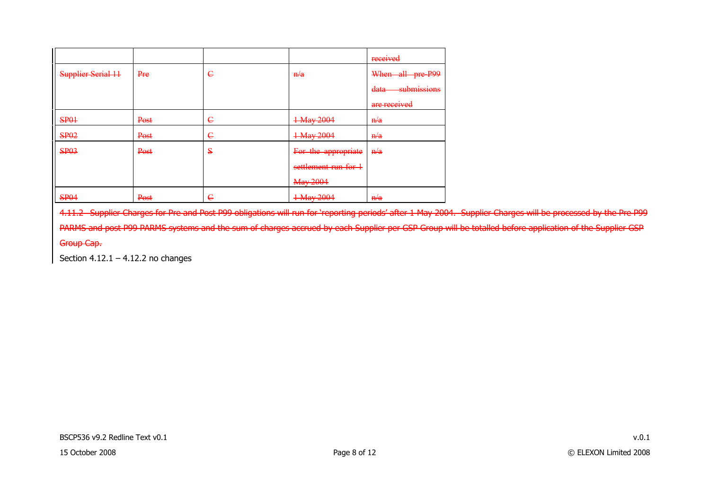|                           |      |            |                      | received            |
|---------------------------|------|------------|----------------------|---------------------|
| <b>Supplier Serial 11</b> | Pre  | $\epsilon$ | H/a                  | When all pre P99    |
|                           |      |            |                      | submissions<br>data |
|                           |      |            |                      | are received        |
| <b>SP01</b>               | Post | $\epsilon$ | 1 May 2004           | n/a                 |
| <b>SP02</b>               | Post | $\epsilon$ | 1 May 2004           | n/a                 |
| <b>SP03</b>               | Post | S          | For the appropriate  | H/a                 |
|                           |      |            | settlement run for 1 |                     |
|                           |      |            | May 2004             |                     |
| <b>SP04</b>               | Post | $\epsilon$ | 1 May 2004           | H/a                 |

4.11.2 Supplier Charges for Pre and Post P99 obligations will run for 'reporting periods' after 1 May 2004. Supplier Charges will be processed by the Pre P99 PARMS and post P99 PARMS systems and the sum of charges accrued by each Supplier per GSP Group will be totalled before application of the Supplier GSP Group Cap.

Section  $4.12.1 - 4.12.2$  no changes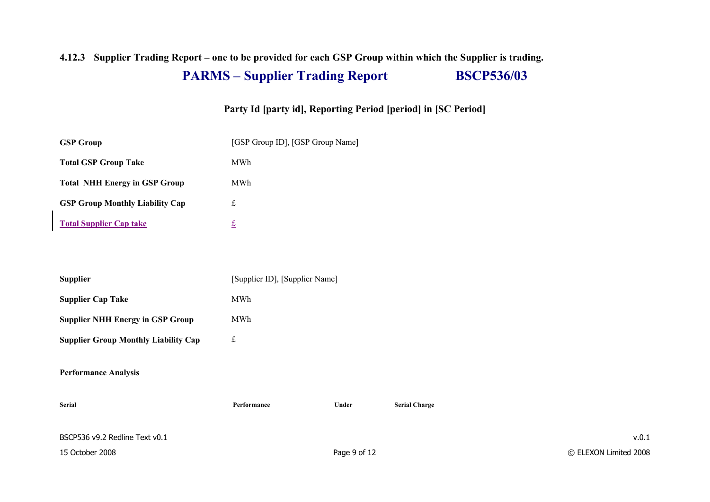# **4.12.3 Supplier Trading Report – one to be provided for each GSP Group within which the Supplier is trading. PARMS – Supplier Trading Report BSCP536/03**

### **Party Id [party id], Reporting Period [period] in [SC Period]**

| <b>GSP Group</b>                       | [GSP Group ID], [GSP Group Name] |
|----------------------------------------|----------------------------------|
| <b>Total GSP Group Take</b>            | MWh                              |
| <b>Total NHH Energy in GSP Group</b>   | MWh                              |
| <b>GSP Group Monthly Liability Cap</b> | £                                |
| <b>Total Supplier Cap take</b>         | £                                |

| <b>Supplier</b>                             | [Supplier ID], [Supplier Name] |
|---------------------------------------------|--------------------------------|
| <b>Supplier Cap Take</b>                    | MWh                            |
| <b>Supplier NHH Energy in GSP Group</b>     | MWh                            |
| <b>Supplier Group Monthly Liability Cap</b> | £                              |

#### **Performance Analysis**

| Serial                         | Performance | Under        | <b>Serial Charge</b> |                       |
|--------------------------------|-------------|--------------|----------------------|-----------------------|
| BSCP536 v9.2 Redline Text v0.1 |             |              |                      | v.0.1                 |
| 15 October 2008                |             | Page 9 of 12 |                      | © ELEXON Limited 2008 |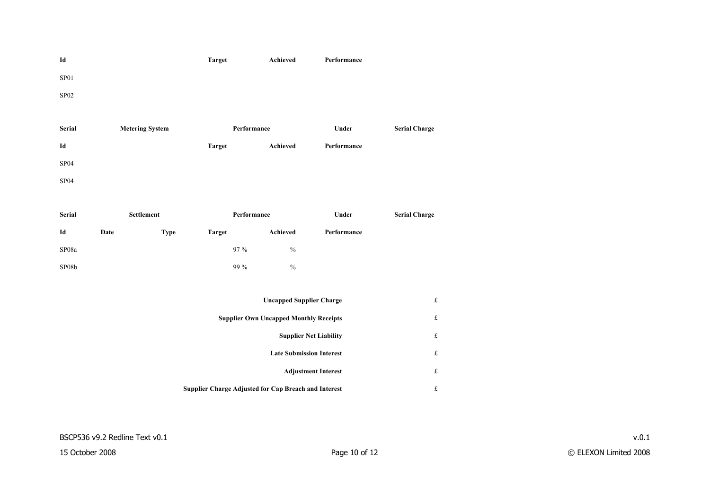

| <b>Serial</b>    | <b>Metering System</b> | Performance   |          | Under       | <b>Serial Charge</b> |
|------------------|------------------------|---------------|----------|-------------|----------------------|
| Id               |                        | <b>Target</b> | Achieved | Performance |                      |
| SP <sub>04</sub> |                        |               |          |             |                      |
| SP <sub>04</sub> |                        |               |          |             |                      |

| <b>Serial</b> |      | Settlement | Performance |               | Under       | <b>Serial Charge</b> |
|---------------|------|------------|-------------|---------------|-------------|----------------------|
| Id            | Date | Type       | Target      | Achieved      | Performance |                      |
| SP08a         |      |            | 97 %        | $\frac{0}{0}$ |             |                      |
| SP08b         |      |            | 99 %        | $\frac{0}{0}$ |             |                      |

| <b>Uncapped Supplier Charge</b>                             | £ |
|-------------------------------------------------------------|---|
| <b>Supplier Own Uncapped Monthly Receipts</b>               | £ |
| <b>Supplier Net Liability</b>                               | £ |
| <b>Late Submission Interest</b>                             | £ |
| <b>Adjustment Interest</b>                                  | £ |
| <b>Supplier Charge Adjusted for Cap Breach and Interest</b> | £ |